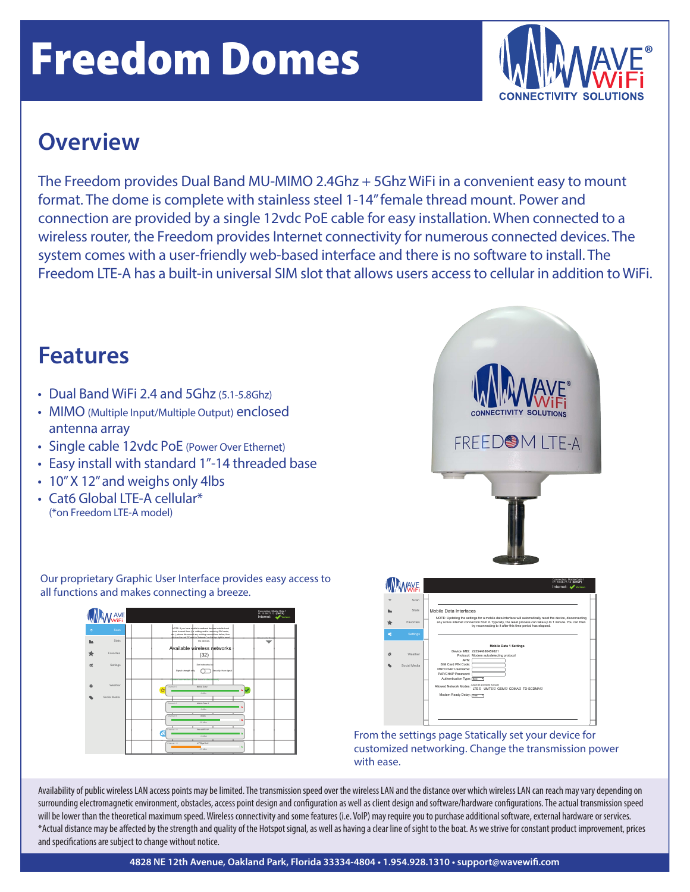# Freedom Domes



#### **Overview**

The Freedom provides Dual Band MU-MIMO 2.4Ghz + 5Ghz WiFi in a convenient easy to mount format. The dome is complete with stainless steel 1-14" female thread mount. Power and connection are provided by a single 12vdc PoE cable for easy installation. When connected to a wireless router, the Freedom provides Internet connectivity for numerous connected devices. The system comes with a user-friendly web-based interface and there is no software to install. The Freedom LTE-A has a built-in universal SIM slot that allows users access to cellular in addition to WiFi.

### **Features**

- Dual Band WiFi 2.4 and 5Ghz (5.1-5.8Ghz)
- MIMO (Multiple Input/Multiple Output) enclosed antenna array
- Single cable 12vdc PoE (Power Over Ethernet)
- Easy install with standard 1"-14 threaded base
- 10"X 12"and weighs only 4lbs
- Cat6 Global LTF-A cellular<sup>\*</sup> (\*on Freedom LTE-A model)

Stats

l AVE<br>WiFi

Settings **Weather** Social Media

Favorites



Our proprietary Graphic User Interface provides easy access to all functions and makes connecting a breeze.



Availability of public wireless LAN access points may be limited. The transmission speed over the wireless LAN and the distance over which wireless LAN can reach may vary depending on surrounding electromagnetic environment, obstacles, access point design and configuration as well as client design and software/hardware configurations. The actual transmission speed will be lower than the theoretical maximum speed. Wireless connectivity and some features (i.e. VoIP) may require you to purchase additional software, external hardware or services. \*Actual distance may be affected by the strength and quality of the Hotspot signal, as well as having a clear line of sight to the boat. As we strive for constant product improvement, prices and specifications are subject to change without notice.

NOTE: if you have micble broadband devices installed and heed to reset them (i)e. adding and/or removing SIM cards, etc.), please disconnect any existing connections below, then click on the red "X" next to "Internet:" on the top right to reset the devices. Available wireless networks (32)

IP: 10.58.77.12 Connection: Mobile Data 1 **(DHCP)** Internet: **Verizon**

**Channels Graph**

 $-0$  dBm

Sort networks by:<br>Signal strength only Security, then signal Current connection (Click here to disconnect.)

Channel: 0 Mobile Data 1

-75 dBm